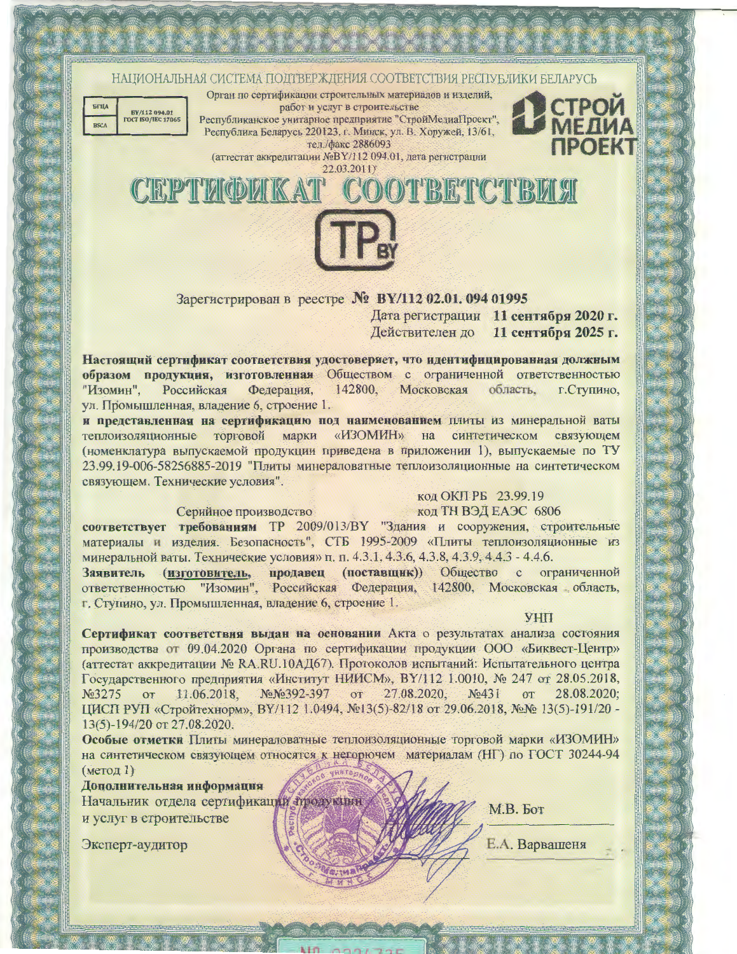



ST.

**B** 

an<br>Man

念

徳

Орган по сертификации строительных материалов и изделий, работ и услуг в строительстве Республиканское унитарное предприятие "СтройМедиаПроект", Республика Беларусь 220123, г. Минск, ул. В. Хоружей, 13/61, тел./факс 2886093

СТРОЙ

(аттестат аккредитации №ВҮ/112 094.01, дата регистрации 22.03.2011)



Зарегистрирован в реестре № ВҮ/112 02.01. 094 01995 Дата регистрации 11 сентября 2020 г. Действителен до 11 сентября 2025 г.

Настоящий сертификат соответствия удостоверяет, что идентифицированная должным образом продукция, изготовленная Обществом с ограниченной ответственностью "Изомин", Российская Федерация, 142800. Московская область. г. Ступино, ул. Промышленная, владение 6, строение 1.

и представленная на сертификацию под наименованием плиты из минеральной ваты теплоизоляционные торговой марки «ИЗОМИН» Ha синтетическом связующем (номенклатура выпускаемой продукции приведена в приложении 1), выпускаемые по ТУ 23.99.19-006-58256885-2019 "Плиты минераловатные теплоизоляционные на синтетическом связующем. Технические условия".

код ОКП РБ 23.99.19

Серийное производство

код ТН ВЭД ЕАЭС 6806

соответствует требованиям ТР 2009/013/ВУ "Здания и сооружения, строительные материалы и изделия. Безопасность", СТБ 1995-2009 «Плиты теплоизоляционные из минеральной ваты. Технические условия» п. п. 4.3.1, 4.3.6, 4.3.8, 4.3.9, 4.4.3 - 4.4.6.

продавец (поставщик)) Общество с ограниченной Заявитель (изготовитель, "Изомин", Российская Федерация, 142800, Московская область, ответственностью г. Ступино, ул. Промышленная, владение 6, строение 1.

**YHII** 

Сертификат соответствия выдан на основании Акта о результатах анализа состояния производства от 09.04.2020 Органа по сертификации продукции ООО «Биквест-Центр» (аттестат аккредитации № RA.RU.10AД67). Протоколов испытаний: Испытательного центра Государственного предприятия «Институт НИИСМ», ВҮ/112 1.0010, № 247 от 28.05.2018, No3275 OT 11.06.2018. NoNo392-397 OT 27.08.2020.  $N<sub>2</sub>431$ **OT** 28.08.2020: ЦИСП РУП «Стройтехнорм», ВҮ/112 1.0494, №13(5)-82/18 от 29.06.2018, №№ 13(5)-191/20 -13(5)-194/20 от 27.08.2020.

Особые отметки Плиты минераловатные теплоизоляционные торговой марки «ИЗОМИН» на синтетическом связующем относятся к негорючем материалам (HГ) по ГОСТ 30244-94 (метод 1)

Дополнительная информация

Начальник отдела сертификации тродукции и услуг в строительстве

Эксперт-аудитор

M.B. For

Е.А. Варвашеня